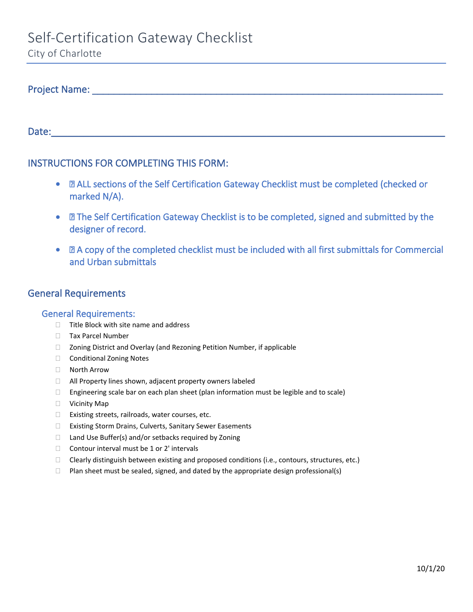City of Charlotte

# Project Name: \_\_\_\_\_\_\_\_\_\_\_\_\_\_\_\_\_\_\_\_\_\_\_\_\_\_\_\_\_\_\_\_\_\_\_\_\_\_\_\_\_\_\_\_\_\_\_\_\_\_\_\_\_\_\_\_\_\_\_\_\_\_\_\_\_

Date:\_\_\_\_\_\_\_\_\_\_\_\_\_\_\_\_\_\_\_\_\_\_\_\_\_\_\_\_\_\_\_\_\_\_\_\_\_\_\_\_\_\_\_\_\_\_\_\_\_\_\_\_\_\_\_\_\_\_\_\_\_\_\_\_\_\_\_\_\_\_\_\_\_

# INSTRUCTIONS FOR COMPLETING THIS FORM:

- $\Box$  ALL sections of the Self Certification Gateway Checklist must be completed (checked or marked N/A).
- $\Box$  The Self Certification Gateway Checklist is to be completed, signed and submitted by the designer of record.
- $\Box$  A copy of the completed checklist must be included with all first submittals for Commercial and Urban submittals

## General Requirements

### General Requirements:

- $\Box$  Title Block with site name and address
- **Tax Parcel Number**
- □ Zoning District and Overlay (and Rezoning Petition Number, if applicable
- □ Conditional Zoning Notes
- North Arrow
- $\Box$  All Property lines shown, adjacent property owners labeled
- $\Box$  Engineering scale bar on each plan sheet (plan information must be legible and to scale)
- **D** Vicinity Map
- $\Box$  Existing streets, railroads, water courses, etc.
- □ Existing Storm Drains, Culverts, Sanitary Sewer Easements
- □ Land Use Buffer(s) and/or setbacks required by Zoning
- $\Box$  Contour interval must be 1 or 2' intervals
- $\Box$  Clearly distinguish between existing and proposed conditions (i.e., contours, structures, etc.)
- $\Box$  Plan sheet must be sealed, signed, and dated by the appropriate design professional(s)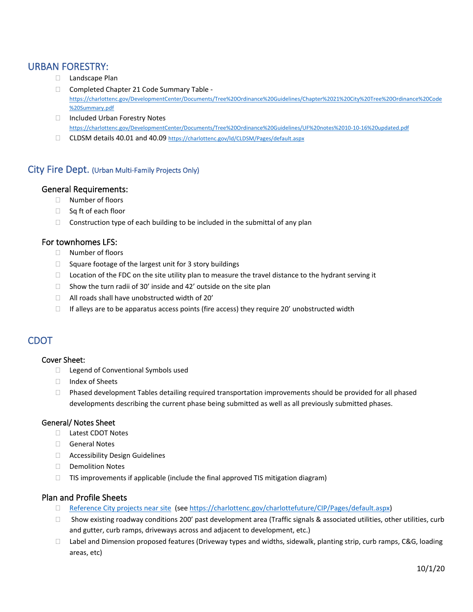## URBAN FORESTRY:

- □ Landscape Plan
- □ Completed Chapter 21 Code Summary Table [https://charlottenc.gov/DevelopmentCenter/Documents/Tree%20Ordinance%20Guidelines/Chapter%2021%20City%20Tree%20Ordinance%20Code](https://charlottenc.gov/DevelopmentCenter/Documents/Tree%20Ordinance%20Guidelines/Chapter%2021%20City%20Tree%20Ordinance%20Code%20Summary.pdf) [%20Summary.pdf](https://charlottenc.gov/DevelopmentCenter/Documents/Tree%20Ordinance%20Guidelines/Chapter%2021%20City%20Tree%20Ordinance%20Code%20Summary.pdf)
- □ Included Urban Forestry Notes <https://charlottenc.gov/DevelopmentCenter/Documents/Tree%20Ordinance%20Guidelines/UF%20notes%2010-10-16%20updated.pdf>
- CLDSM details 40.01 and 40.09 <https://charlottenc.gov/ld/CLDSM/Pages/default.aspx>

### City Fire Dept. (Urban Multi-Family Projects Only)

### General Requirements:

- □ Number of floors
- $\Box$  Sq ft of each floor
- $\Box$  Construction type of each building to be included in the submittal of any plan

### For townhomes LFS:

- Number of floors
- $\Box$  Square footage of the largest unit for 3 story buildings
- $\Box$  Location of the FDC on the site utility plan to measure the travel distance to the hydrant serving it
- $\Box$  Show the turn radii of 30' inside and 42' outside on the site plan
- $\Box$  All roads shall have unobstructed width of 20'
- $\Box$  If alleys are to be apparatus access points (fire access) they require 20' unobstructed width

## CDOT

#### Cover Sheet:

- □ Legend of Conventional Symbols used
- □ Index of Sheets
- $\Box$  Phased development Tables detailing required transportation improvements should be provided for all phased developments describing the current phase being submitted as well as all previously submitted phases.

### General/ Notes Sheet

- Latest CDOT Notes
- General Notes
- Accessibility Design Guidelines
- Demolition Notes
- $\Box$  TIS improvements if applicable (include the final approved TIS mitigation diagram)

### Plan and Profile Sheets

- □ [Reference City projects near site](https://charlottenc.gov/charlottefuture/CIP/Pages/default.aspx) (se[e https://charlottenc.gov/charlottefuture/CIP/Pages/default.aspx\)](https://charlottenc.gov/charlottefuture/CIP/Pages/default.aspx)
- $\Box$  Show existing roadway conditions 200' past development area (Traffic signals & associated utilities, other utilities, curb and gutter, curb ramps, driveways across and adjacent to development, etc.)
- □ Label and Dimension proposed features (Driveway types and widths, sidewalk, planting strip, curb ramps, C&G, loading areas, etc)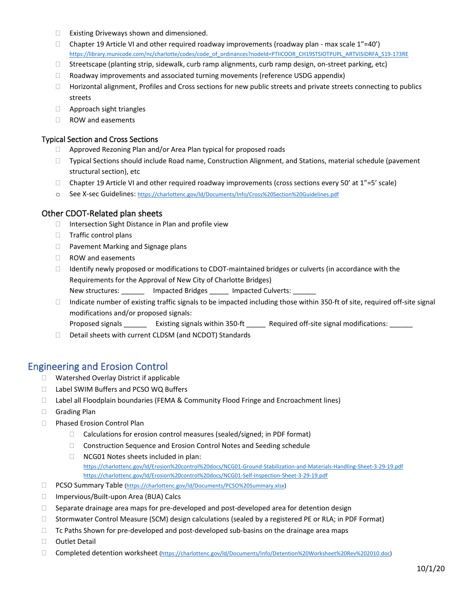- $\Box$  Existing Driveways shown and dimensioned.
- $\Box$  Chapter 19 Article VI and other required roadway improvements (roadway plan max scale 1"=40') [https://library.municode.com/nc/charlotte/codes/code\\_of\\_ordinances?nodeId=PTIICOOR\\_CH19STSIOTPUPL\\_ARTVISIDRFA\\_S19-173RE](https://library.municode.com/nc/charlotte/codes/code_of_ordinances?nodeId=PTIICOOR_CH19STSIOTPUPL_ARTVISIDRFA_S19-173RE)
- $\Box$  Streetscape (planting strip, sidewalk, curb ramp alignments, curb ramp design, on-street parking, etc)
- $\Box$  Roadway improvements and associated turning movements (reference USDG appendix)
- $\Box$  Horizontal alignment, Profiles and Cross sections for new public streets and private streets connecting to publics streets
- Approach sight triangles
- □ ROW and easements

#### Typical Section and Cross Sections

- □ Approved Rezoning Plan and/or Area Plan typical for proposed roads
- □ Typical Sections should include Road name, Construction Alignment, and Stations, material schedule (pavement structural section), etc
- $\Box$  Chapter 19 Article VI and other required roadway improvements (cross sections every 50' at 1"=5' scale)
- o See X-sec Guidelines:<https://charlottenc.gov/ld/Documents/Info/Cross%20Section%20Guidelines.pdf>

#### Other CDOT-Related plan sheets

- $\Box$  Intersection Sight Distance in Plan and profile view
- $\Box$  Traffic control plans
- □ Pavement Marking and Signage plans
- ROW and easements
- $\Box$  Identify newly proposed or modifications to CDOT-maintained bridges or culverts (in accordance with the [Requirements for the Approval of New City of Charlotte Bridges\)](https://charlottenc.gov/ld/CLDSM/Documents/Requirements%20for%20the%20Approval%20of%20New%20City%20of%20Charlotte%20%20Bridges%206_3_2021.pdf)
	- New structures: \_\_\_\_\_\_\_ Impacted Bridges \_\_\_\_\_ Impacted Culverts: \_\_\_\_
- $\Box$  Indicate number of existing traffic signals to be impacted including those within 350-ft of site, required off-site signal modifications and/or proposed signals:
	- Proposed signals \_\_\_\_\_\_\_ Existing signals within 350-ft \_\_\_\_\_ Required off-site signal modifications: \_\_\_\_\_
- Detail sheets with current CLDSM (and NCDOT) Standards

### Engineering and Erosion Control

- □ Watershed Overlay District if applicable
- □ Label SWIM Buffers and PCSO WQ Buffers
- $\Box$  Label all Floodplain boundaries (FEMA & Community Flood Fringe and Encroachment lines)
- Grading Plan
- □ Phased Erosion Control Plan
	- □ Calculations for erosion control measures (sealed/signed; in PDF format)
	- □ Construction Sequence and Erosion Control Notes and Seeding schedule
	- □ NCG01 Notes sheets included in plan: <https://charlottenc.gov/ld/Erosion%20control%20docs/NCG01-Ground-Stabilization-and-Materials-Handling-Sheet-3-29-19.pdf> <https://charlottenc.gov/ld/Erosion%20control%20docs/NCG01-Self-Inspection-Sheet-3-29-19.pdf>
- PCSO Summary Table [\(https://charlottenc.gov/ld/Documents/PCSO%20Summary.xlsx\)](https://charlottenc.gov/ld/Documents/PCSO%20Summary.xlsx)
- □ Impervious/Built-upon Area (BUA) Calcs
- $\Box$  Separate drainage area maps for pre-developed and post-developed area for detention design
- □ Stormwater Control Measure (SCM) design calculations (sealed by a registered PE or RLA; in PDF Format)
- $\Box$  Tc Paths Shown for pre-developed and post-developed sub-basins on the drainage area maps
- □ Outlet Detail
- □ Completed detention worksheet [\(https://charlottenc.gov/ld/Documents/Info/Detention%20Worksheet%20Rev%202010.doc\)](https://charlottenc.gov/ld/Documents/Info/Detention%20Worksheet%20Rev%202010.doc)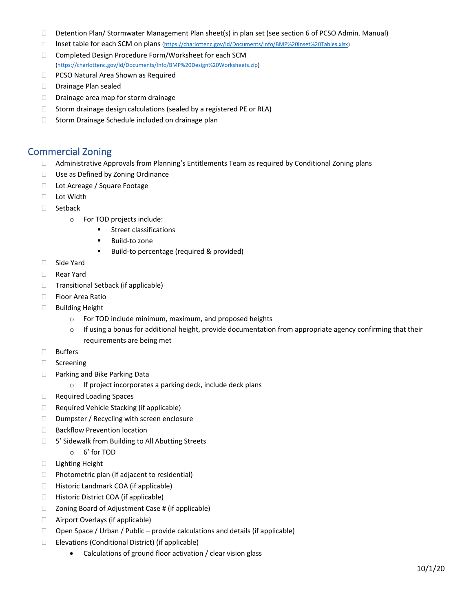- Detention Plan/ Stormwater Management Plan sheet(s) in plan set (see section 6 of PCSO Admin. Manual)
- □ Inset table for each SCM on plans [\(https://charlottenc.gov/ld/Documents/Info/BMP%20Inset%20Tables.xlsx\)](https://charlottenc.gov/ld/Documents/Info/BMP%20Inset%20Tables.xlsx)
- □ Completed Design Procedure Form/Worksheet for each SCM [\(https://charlottenc.gov/ld/Documents/Info/BMP%20Design%20Worksheets.zip\)](https://charlottenc.gov/ld/Documents/Info/BMP%20Design%20Worksheets.zip)
- D PCSO Natural Area Shown as Required
- Drainage Plan sealed
- $\Box$  Drainage area map for storm drainage
- $\Box$  Storm drainage design calculations (sealed by a registered PE or RLA)
- $\Box$  Storm Drainage Schedule included on drainage plan

### Commercial Zoning

- $\Box$  Administrative Approvals from Planning's Entitlements Team as required by Conditional Zoning plans
- □ Use as Defined by Zoning Ordinance
- □ Lot Acreage / Square Footage
- □ Lot Width
- □ Setback
	- o For TOD projects include:
		- **Street classifications**
		- **Build-to zone**
		- **Build-to percentage (required & provided)**
- □ Side Yard
- Rear Yard
- $\Box$  Transitional Setback (if applicable)
- □ Floor Area Ratio
- □ Building Height
	- o For TOD include minimum, maximum, and proposed heights
	- $\circ$  If using a bonus for additional height, provide documentation from appropriate agency confirming that their requirements are being met
- Buffers
- □ Screening
- □ Parking and Bike Parking Data
	- o If project incorporates a parking deck, include deck plans
- Required Loading Spaces
- □ Required Vehicle Stacking (if applicable)
- $\Box$  Dumpster / Recycling with screen enclosure
- □ Backflow Prevention location
- □ 5' Sidewalk from Building to All Abutting Streets
	- o 6' for TOD
- Lighting Height
- $\Box$  Photometric plan (if adjacent to residential)
- □ Historic Landmark COA (if applicable)
- □ Historic District COA (if applicable)
- $\Box$  Zoning Board of Adjustment Case # (if applicable)
- Airport Overlays (if applicable)
- $\Box$  Open Space / Urban / Public provide calculations and details (if applicable)
- $\Box$  Elevations (Conditional District) (if applicable)
	- Calculations of ground floor activation / clear vision glass